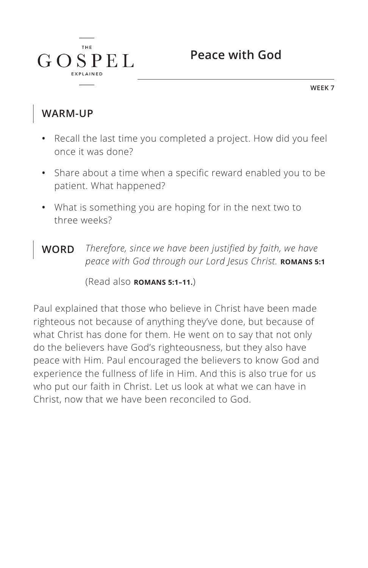

**WEEK 7**

#### **WARM-UP**

 $G$ 

**THE** 

 $SPEL$ 

- **•** Recall the last time you completed a project. How did you feel once it was done?
- **•** Share about a time when a specific reward enabled you to be patient. What happened?
- **•** What is something you are hoping for in the next two to three weeks?

**WORD** *Therefore, since we have been justified by faith, we have peace with God through our Lord Jesus Christ. ^***ROMANS 5:1**

(Read also **ROMANS 5:1-11.**)

Paul explained that those who believe in Christ have been made righteous not because of anything they've done, but because of what Christ has done for them. He went on to say that not only do the believers have God's righteousness, but they also have peace with Him. Paul encouraged the believers to know God and experience the fullness of life in Him. And this is also true for us who put our faith in Christ. Let us look at what we can have in Christ, now that we have been reconciled to God.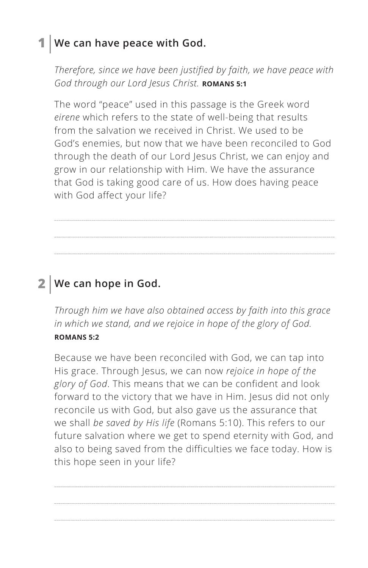### **1 We can have peace with God.**

*Therefore, since we have been justified by faith, we have peace with*  God through our Lord Jesus Christ. **ROMANS 5:1** 

The word "peace" used in this passage is the Greek word *eirene* which refers to the state of well-being that results from the salvation we received in Christ. We used to be God's enemies, but now that we have been reconciled to God through the death of our Lord Jesus Christ, we can enjoy and grow in our relationship with Him. We have the assurance that God is taking good care of us. How does having peace with God affect your life?

## **2 We can hope in God.**

*Through him we have also obtained access by faith into this grace in which we stand, and we rejoice in hope of the glory of God. ^***ROMANS 5:2**

Because we have been reconciled with God, we can tap into His grace. Through Jesus, we can now *rejoice in hope of the glory of God*. This means that we can be confident and look forward to the victory that we have in Him. Jesus did not only reconcile us with God, but also gave us the assurance that we shall *be saved by His life* (Romans 5:10). This refers to our future salvation where we get to spend eternity with God, and also to being saved from the difficulties we face today. How is this hope seen in your life?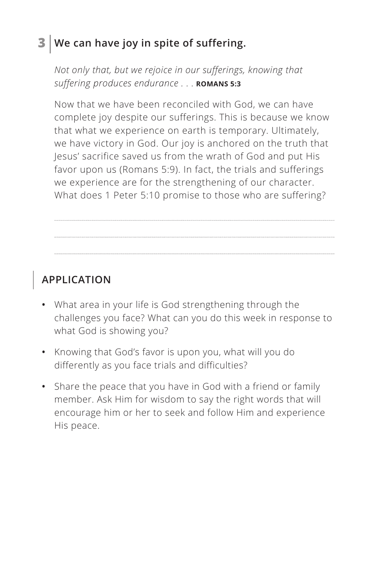### **3 We can have joy in spite of suffering.**

*Not only that, but we rejoice in our sufferings, knowing that suffering produces endurance . . . ^* **ROMANS 5:3**

Now that we have been reconciled with God, we can have complete joy despite our sufferings. This is because we know that what we experience on earth is temporary. Ultimately, we have victory in God. Our joy is anchored on the truth that Jesus' sacrifice saved us from the wrath of God and put His favor upon us (Romans 5:9). In fact, the trials and sufferings we experience are for the strengthening of our character. What does 1 Peter 5:10 promise to those who are suffering?

#### **APPLICATION**

- **•** What area in your life is God strengthening through the challenges you face? What can you do this week in response to what God is showing you?
- **•** Knowing that God's favor is upon you, what will you do differently as you face trials and difficulties?
- **•** Share the peace that you have in God with a friend or family member. Ask Him for wisdom to say the right words that will encourage him or her to seek and follow Him and experience His peace.